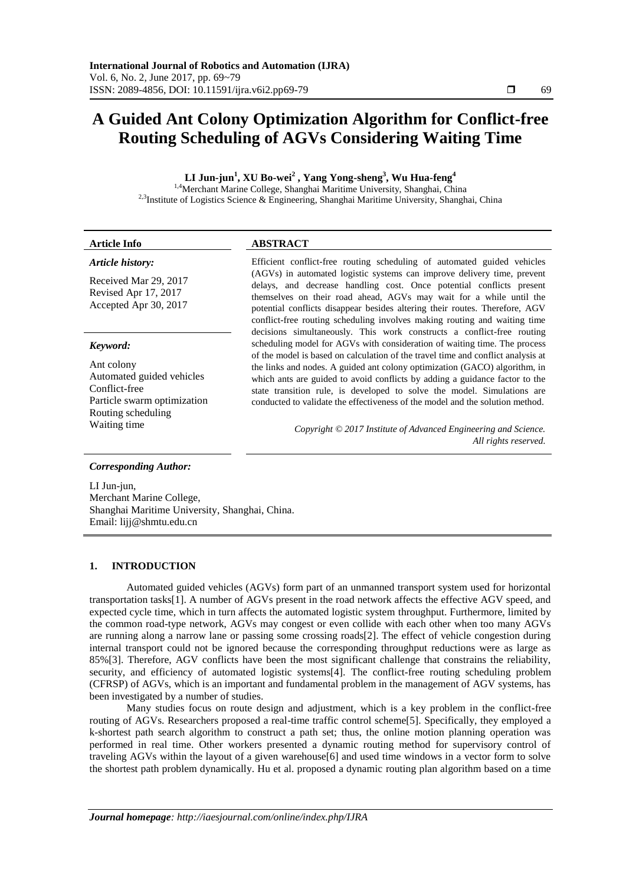# **A Guided Ant Colony Optimization Algorithm for Conflict-free Routing Scheduling of AGVs Considering Waiting Time**

**LI Jun-jun<sup>1</sup> , XU Bo-wei<sup>2</sup> , Yang Yong-sheng<sup>3</sup> , Wu Hua-feng<sup>4</sup>** 1,4Merchant Marine College, Shanghai Maritime University, Shanghai, China

<sup>2,3</sup>Institute of Logistics Science & Engineering, Shanghai Maritime University, Shanghai, China

| <b>Article Info</b>                                                                                           | <b>ABSTRACT</b>                                                                                                                                                                                                                                                                                                                                                                                           |
|---------------------------------------------------------------------------------------------------------------|-----------------------------------------------------------------------------------------------------------------------------------------------------------------------------------------------------------------------------------------------------------------------------------------------------------------------------------------------------------------------------------------------------------|
| Article history:                                                                                              | Efficient conflict-free routing scheduling of automated guided vehicles                                                                                                                                                                                                                                                                                                                                   |
| Received Mar 29, 2017<br>Revised Apr 17, 2017<br>Accepted Apr 30, 2017                                        | (AGVs) in automated logistic systems can improve delivery time, prevent<br>delays, and decrease handling cost. Once potential conflicts present<br>themselves on their road ahead, AGVs may wait for a while until the<br>potential conflicts disappear besides altering their routes. Therefore, AGV<br>conflict-free routing scheduling involves making routing and waiting time                        |
| Keyword:                                                                                                      | decisions simultaneously. This work constructs a conflict-free routing<br>scheduling model for AGVs with consideration of waiting time. The process                                                                                                                                                                                                                                                       |
| Ant colony<br>Automated guided vehicles<br>Conflict-free<br>Particle swarm optimization<br>Routing scheduling | of the model is based on calculation of the travel time and conflict analysis at<br>the links and nodes. A guided ant colony optimization (GACO) algorithm, in<br>which ants are guided to avoid conflicts by adding a guidance factor to the<br>state transition rule, is developed to solve the model. Simulations are<br>conducted to validate the effectiveness of the model and the solution method. |
| Waiting time                                                                                                  | Copyright © 2017 Institute of Advanced Engineering and Science.<br>All rights reserved.                                                                                                                                                                                                                                                                                                                   |
| <b>Corresponding Author:</b>                                                                                  |                                                                                                                                                                                                                                                                                                                                                                                                           |

LI Jun-jun, Merchant Marine College, Shanghai Maritime University, Shanghai, China. Email: lijj@shmtu.edu.cn

# **1. INTRODUCTION**

Automated guided vehicles (AGVs) form part of an unmanned transport system used for horizontal transportation tasks[1]. A number of AGVs present in the road network affects the effective AGV speed, and expected cycle time, which in turn affects the automated logistic system throughput. Furthermore, limited by the common road-type network, AGVs may congest or even collide with each other when too many AGVs are running along a narrow lane or passing some crossing roads[2]. The effect of vehicle congestion during internal transport could not be ignored because the corresponding throughput reductions were as large as 85%[3]. Therefore, AGV conflicts have been the most significant challenge that constrains the reliability, security, and efficiency of automated logistic systems[4]. The conflict-free routing scheduling problem (CFRSP) of AGVs, which is an important and fundamental problem in the management of AGV systems, has been investigated by a number of studies.

Many studies focus on route design and adjustment, which is a key problem in the conflict-free routing of AGVs. Researchers proposed a real-time traffic control scheme[5]. Specifically, they employed a k-shortest path search algorithm to construct a path set; thus, the online motion planning operation was performed in real time. Other workers presented a dynamic routing method for supervisory control of traveling AGVs within the layout of a given warehouse[6] and used time windows in a vector form to solve the shortest path problem dynamically. Hu et al. proposed a dynamic routing plan algorithm based on a time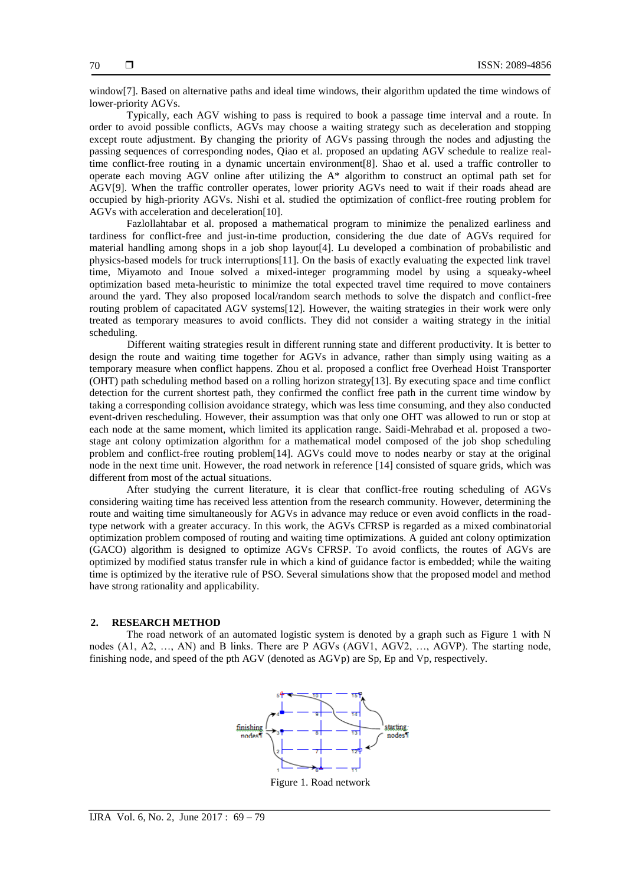window[7]. Based on alternative paths and ideal time windows, their algorithm updated the time windows of lower-priority AGVs.

Typically, each AGV wishing to pass is required to book a passage time interval and a route. In order to avoid possible conflicts, AGVs may choose a waiting strategy such as deceleration and stopping except route adjustment. By changing the priority of AGVs passing through the nodes and adjusting the passing sequences of corresponding nodes, Qiao et al. proposed an updating AGV schedule to realize realtime conflict-free routing in a dynamic uncertain environment[8]. Shao et al. used a traffic controller to operate each moving AGV online after utilizing the A\* algorithm to construct an optimal path set for AGV[9]. When the traffic controller operates, lower priority AGVs need to wait if their roads ahead are occupied by high-priority AGVs. Nishi et al. studied the optimization of conflict-free routing problem for AGVs with acceleration and deceleration[10].

Fazlollahtabar et al. proposed a mathematical program to minimize the penalized earliness and tardiness for conflict-free and just-in-time production, considering the due date of AGVs required for material handling among shops in a job shop layout[4]. Lu developed a combination of probabilistic and physics-based models for truck interruptions[11]. On the basis of exactly evaluating the expected link travel time, Miyamoto and Inoue solved a mixed-integer programming model by using a squeaky-wheel optimization based meta-heuristic to minimize the total expected travel time required to move containers around the yard. They also proposed local/random search methods to solve the dispatch and conflict-free routing problem of capacitated AGV systems[12]. However, the waiting strategies in their work were only treated as temporary measures to avoid conflicts. They did not consider a waiting strategy in the initial scheduling.

Different waiting strategies result in different running state and different productivity. It is better to design the route and waiting time together for AGVs in advance, rather than simply using waiting as a temporary measure when conflict happens. Zhou et al. proposed a conflict free Overhead Hoist Transporter (OHT) path scheduling method based on a rolling horizon strategy[13]. By executing space and time conflict detection for the current shortest path, they confirmed the conflict free path in the current time window by taking a corresponding collision avoidance strategy, which was less time consuming, and they also conducted event-driven rescheduling. However, their assumption was that only one OHT was allowed to run or stop at each node at the same moment, which limited its application range. Saidi-Mehrabad et al. proposed a twostage ant colony optimization algorithm for a mathematical model composed of the job shop scheduling problem and conflict-free routing problem[14]. AGVs could move to nodes nearby or stay at the original node in the next time unit. However, the road network in reference [14] consisted of square grids, which was different from most of the actual situations.

After studying the current literature, it is clear that conflict-free routing scheduling of AGVs considering waiting time has received less attention from the research community. However, determining the route and waiting time simultaneously for AGVs in advance may reduce or even avoid conflicts in the roadtype network with a greater accuracy. In this work, the AGVs CFRSP is regarded as a mixed combinatorial optimization problem composed of routing and waiting time optimizations. A guided ant colony optimization (GACO) algorithm is designed to optimize AGVs CFRSP. To avoid conflicts, the routes of AGVs are optimized by modified status transfer rule in which a kind of guidance factor is embedded; while the waiting time is optimized by the iterative rule of PSO. Several simulations show that the proposed model and method have strong rationality and applicability.

## **2. RESEARCH METHOD**

The road network of an automated logistic system is denoted by a graph such as Figure 1 with N nodes (A1, A2, …, AN) and B links. There are P AGVs (AGV1, AGV2, …, AGVP). The starting node, finishing node, and speed of the pth AGV (denoted as AGVp) are Sp, Ep and Vp, respectively.



Figure 1. Road network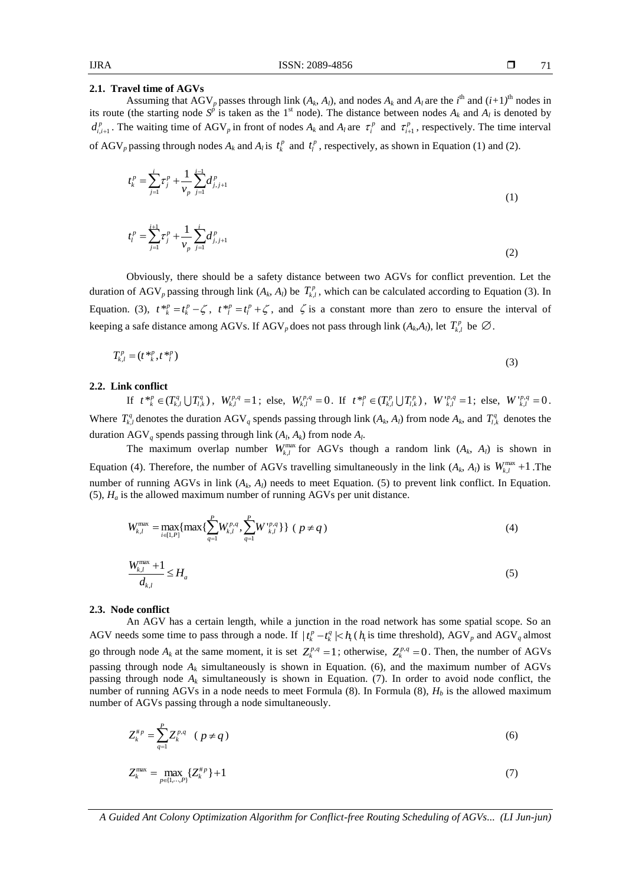## **2.1. Travel time of AGVs**

Assuming that  $AGV_p$  passes through link  $(A_k, A_l)$ , and nodes  $A_k$  and  $A_l$  are the  $i^{\text{th}}$  and  $(i+1)^{\text{th}}$  nodes in its route (the starting node  $S^{\hat{p}}$  is taken as the 1<sup>st</sup> node). The distance between nodes  $A_k$  and  $A_l$  is denoted by  $d_{i,i+1}^p$ . The waiting time of AGV<sub>p</sub> in front of nodes  $A_k$  and  $A_l$  are  $\tau_i^p$  and  $\tau_{i+1}^p$ , respectively. The time interval of AGV<sub>p</sub> passing through nodes  $A_k$  and  $A_l$  is  $t_k^p$  and  $t_l^p$ , respectively, as shown in Equation (1) and (2).

$$
t_k^p = \sum_{j=1}^i \tau_j^p + \frac{1}{\nu_p} \sum_{j=1}^{i-1} d_{j,j+1}^p
$$
 (1)

$$
t_l^p = \sum_{j=1}^{i+1} \tau_j^p + \frac{1}{\nu_p} \sum_{j=1}^i d_{j,j+1}^p
$$
 (2)

Obviously, there should be a safety distance between two AGVs for conflict prevention. Let the duration of AGV<sub>p</sub> passing through link  $(A_k, A_l)$  be  $T_{k,l}^p$ , which can be calculated according to Equation (3). In Equation. (3),  $t *_{k}^{p} = t_{k}^{p} - \zeta$ ,  $t *_{l}^{p} = t_{l}^{p} + \zeta$ , and  $\zeta$  is a constant more than zero to ensure the interval of keeping a safe distance among AGVs. If AGV<sub>p</sub> does not pass through link  $(A_k, A_l)$ , let  $T_{k,l}^p$  be  $\emptyset$ .

$$
T_{k,l}^p = (t \, \frac{\ast p}{k}, t \, \frac{\ast p}{l}) \tag{3}
$$

## **2.2. Link conflict**

If  $t^{*p}_{k} \in (T_{k,l}^{q} \cup T_{l,k}^{q})$ ,  $W_{k,l}^{p,q} = 1$ ; else,  $W_{k,l}^{p,q} = 0$ . If  $t^{*p}_{l} \in (T_{k,l}^{p} \cup T_{l,k}^{p})$ ,  $W_{k,l}^{p,q} = 1$ ; else,  $W_{k,l}^{p,q} = 0$ . Where  $T_{k,l}^q$  denotes the duration AGV<sub>q</sub> spends passing through link  $(A_k, A_l)$  from node  $A_k$ , and  $T_{l,k}^q$  denotes the duration  $AGV_q$  spends passing through link  $(A_l, A_k)$  from node  $A_l$ .

The maximum overlap number  $W_{k,l}^{\text{max}}$  for AGVs though a random link  $(A_k, A_l)$  is shown in Equation (4). Therefore, the number of AGVs travelling simultaneously in the link  $(A_k, A_l)$  is  $W_{k,l}^{\max} + 1$ . The number of running AGVs in link  $(A_k, A_l)$  needs to meet Equation. (5) to prevent link conflict. In Equation. (5),  $H_a$  is the allowed maximum number of running AGVs per unit distance.

$$
W_{k,l}^{\max} = \max_{i \in [1,P]} \{ \max \{ \sum_{q=1}^{P} W_{k,l}^{p,q}, \sum_{q=1}^{P} W_{k,l}^{p,q} \} \} (p \neq q)
$$
(4)

$$
\frac{W_{k,l}^{\text{max}} + 1}{d_{k,l}} \le H_a \tag{5}
$$

## **2.3. Node conflict**

An AGV has a certain length, while a junction in the road network has some spatial scope. So an AGV needs some time to pass through a node. If  $|t_k^p - t_k^q| \le h_t$  ( $h_t$  is time threshold), AGV<sub>p</sub> and AGV<sub>q</sub> almost go through node  $A_k$  at the same moment, it is set  $Z_k^{p,q} = 1$ ; otherwise,  $Z_k^{p,q} = 0$ . Then, the number of AGVs passing through node  $A_k$  simultaneously is shown in Equation. (6), and the maximum number of AGVs passing through node  $A_k$  simultaneously is shown in Equation. (7). In order to avoid node conflict, the number of running AGVs in a node needs to meet Formula (8). In Formula (8), *H<sup>b</sup>* is the allowed maximum number of AGVs passing through a node simultaneously.

$$
Z_k^{*p} = \sum_{q=1}^P Z_k^{p,q} \quad (p \neq q) \tag{6}
$$

$$
Z_k^{\max} = \max_{p \in \{1, \cdots, P\}} \{Z_k^{\# p}\} + 1 \tag{7}
$$

*A Guided Ant Colony Optimization Algorithm for Conflict-free Routing Scheduling of AGVs... (LI Jun-jun)*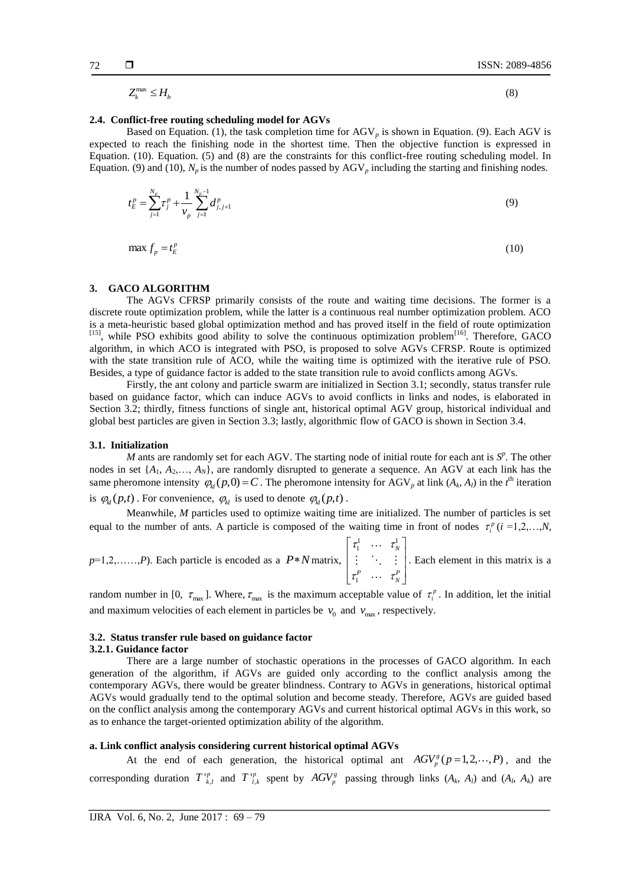(8)

 $Z_k^{\max} \leq H_b$ 

# **2.4. Conflict-free routing scheduling model for AGVs**

Based on Equation. (1), the task completion time for  $AGV<sub>p</sub>$  is shown in Equation. (9). Each AGV is expected to reach the finishing node in the shortest time. Then the objective function is expressed in Equation. (10). Equation. (5) and (8) are the constraints for this conflict-free routing scheduling model. In Equation. (9) and (10),  $N_p$  is the number of nodes passed by  $AGV_p$  including the starting and finishing nodes.

$$
t_E^p = \sum_{j=1}^{N_p} \tau_j^p + \frac{1}{\nu_p} \sum_{j=1}^{N_p - 1} d_{j,j+1}^p
$$
\n(9)

$$
\max f_p = t_E^p \tag{10}
$$

## **3. GACO ALGORITHM**

The AGVs CFRSP primarily consists of the route and waiting time decisions. The former is a discrete route optimization problem, while the latter is a continuous real number optimization problem. ACO is a meta-heuristic based global optimization method and has proved itself in the field of route optimization [15], while PSO exhibits good ability to solve the continuous optimization problem<sup>[16]</sup>. Therefore, GACO algorithm, in which ACO is integrated with PSO, is proposed to solve AGVs CFRSP. Route is optimized with the state transition rule of ACO, while the waiting time is optimized with the iterative rule of PSO. Besides, a type of guidance factor is added to the state transition rule to avoid conflicts among AGVs.

Firstly, the ant colony and particle swarm are initialized in Section 3.1; secondly, status transfer rule based on guidance factor, which can induce AGVs to avoid conflicts in links and nodes, is elaborated in Section 3.2; thirdly, fitness functions of single ant, historical optimal AGV group, historical individual and global best particles are given in Section 3.3; lastly, algorithmic flow of GACO is shown in Section 3.4.

## **3.1. Initialization**

*M* ants are randomly set for each AGV. The starting node of initial route for each ant is  $S^p$ . The other nodes in set {*A*1, *A*2,…, *AN*}, are randomly disrupted to generate a sequence. An AGV at each link has the same pheromone intensity  $\varphi_{kl}(p,0) = C$ . The pheromone intensity for AGV<sub>p</sub> at link  $(A_k, A_l)$  in the *t*<sup>th</sup> iteration is  $\varphi_{kl}(p,t)$ . For convenience,  $\varphi_{kl}$  is used to denote  $\varphi_{kl}(p,t)$ .

Meanwhile, *M* particles used to optimize waiting time are initialized. The number of particles is set equal to the number of ants. A particle is composed of the waiting time in front of nodes  $\tau_i^p$  (*i* =1,2,...,*N*,

 $p=1,2,\ldots,P$ ). Each particle is encoded as a  $P*N$  matrix,  $\tau_1^1$   $\cdots$   $\tau_N^1$ 1 *N*  $\tau_1^P$   $\cdots$   $\tau_N^P$  $\tau_1^1$   $\cdots$   $\tau_{\Lambda}^1$  $\begin{bmatrix} \tau_1^1 & \cdots & \tau_N^1 \\ \vdots & \ddots & \vdots \\ \tau_1^P & \cdots & \tau_N^P \end{bmatrix}.$ . Each element in this matrix is a

random number in [0,  $\tau_{\text{max}}$ ]. Where,  $\tau_{\text{max}}$  is the maximum acceptable value of  $\tau_i^p$ . In addition, let the initial and maximum velocities of each element in particles be  $v_0$  and  $v_{\text{max}}$ , respectively.

# **3.2. Status transfer rule based on guidance factor**

#### **3.2.1. Guidance factor**

There are a large number of stochastic operations in the processes of GACO algorithm. In each generation of the algorithm, if AGVs are guided only according to the conflict analysis among the contemporary AGVs, there would be greater blindness. Contrary to AGVs in generations, historical optimal AGVs would gradually tend to the optimal solution and become steady. Therefore, AGVs are guided based on the conflict analysis among the contemporary AGVs and current historical optimal AGVs in this work, so as to enhance the target-oriented optimization ability of the algorithm.

## **a. Link conflict analysis considering current historical optimal AGVs**

At the end of each generation, the historical optimal ant  $AGV_p^s(p=1,2,\dots,P)$ , and the corresponding duration  $T_{k,l}^{\nu}$  and  $T_{l,k}^{\nu}$  spent by  $AGV_p^s$  passing through links  $(A_k, A_l)$  and  $(A_l, A_k)$  are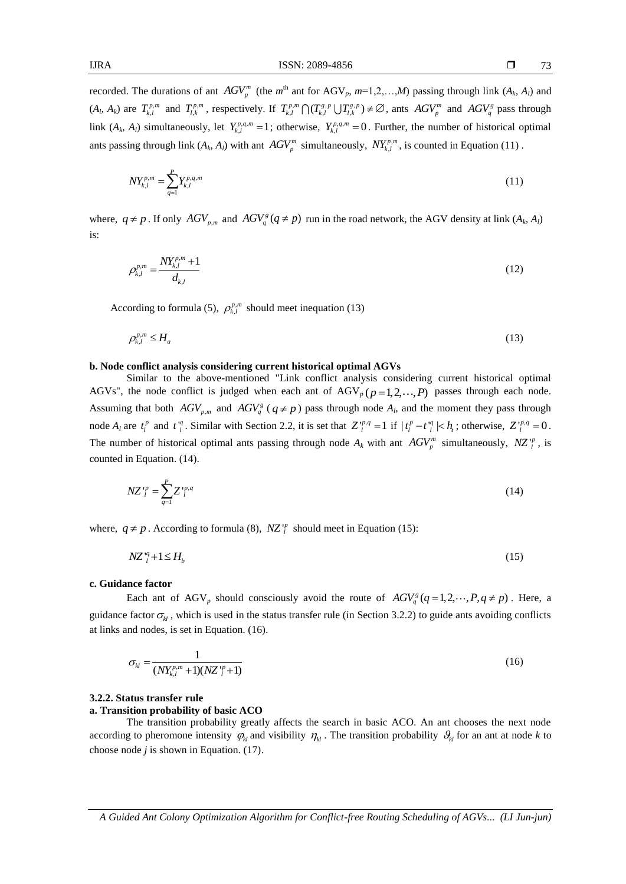73

recorded. The durations of ant  $AGV_p^m$  (the  $m^{\text{th}}$  ant for  $AGV_p$ ,  $m=1,2,...,M$ ) passing through link  $(A_k, A_l)$  and  $(A_i, A_k)$  are  $T_{k,l}^{p,m}$  and  $T_{l,k}^{p,m}$ , respectively. If  $T_{k,l}^{p,m} \bigcap (T_{k,l}^{g,p} \bigcup T_{l,k}^{g,p}) \neq \emptyset$ , ants  $AGV_p^m$  and  $AGV_q^g$  pass through link  $(A_k, A_l)$  simultaneously, let  $Y_{k,l}^{p,q,m} = 1$ ; otherwise,  $Y_{k,l}^{p,q,m} = 0$ . Further, the number of historical optimal ants passing through link  $(A_k, A_l)$  with ant  $AGV_p^m$  simultaneously,  $NY_{k,l}^{p,m}$ , is counted in Equation (11).

$$
NY_{k,l}^{p,m} = \sum_{q=1}^{P} Y_{k,l}^{p,q,m} \tag{11}
$$

where,  $q \neq p$ . If only  $AGV_{p,m}$  and  $AGV_q^s(q \neq p)$  run in the road network, the AGV density at link  $(A_k, A_l)$ is:

$$
\rho_{k,l}^{p,m} = \frac{N Y_{k,l}^{p,m} + 1}{d_{k,l}}
$$
\n(12)

According to formula (5),  $\rho_{k,l}^{p,m}$  should meet inequation (13)

$$
\rho_{k,l}^{p,m} \le H_a \tag{13}
$$

## **b. Node conflict analysis considering current historical optimal AGVs**

Similar to the above-mentioned "Link conflict analysis considering current historical optimal AGVs", the node conflict is judged when each ant of  $AGV_p(p=1,2,\dots,P)$  passes through each node. Assuming that both  $AGV_{p,m}$  and  $AGV_q^s$  ( $q \neq p$ ) pass through node  $A_l$ , and the moment they pass through node  $A_l$  are  $t_l^p$  and  $t_l^q$ . Similar with Section 2.2, it is set that  $Z_l^{vp,q} = 1$  if  $|t_l^p - t_l^q| < h_t$ ; otherwise,  $Z_l^{vp,q} = 0$ . The number of historical optimal ants passing through node  $A_k$  with ant  $AGV_p^m$  simultaneously,  $NZ_i^p$ , is counted in Equation. (14).

$$
NZ_{l}^{\nu p} = \sum_{q=1}^{P} Z_{l}^{\nu p,q} \tag{14}
$$

where,  $q \neq p$ . According to formula (8),  $NZ^{\prime p}_{l}$  should meet in Equation (15):

$$
NZ_i^q + 1 \le H_b \tag{15}
$$

## **c. Guidance factor**

Each ant of AGV<sub>p</sub> should consciously avoid the route of  $AGV_q^s(q=1,2,\dots,P,q \neq p)$ . Here, a guidance factor  $\sigma_{kl}$ , which is used in the status transfer rule (in Section 3.2.2) to guide ants avoiding conflicts at links and nodes, is set in Equation. (16).

$$
\sigma_{kl} = \frac{1}{(NY_{k,l}^{p,m} + 1)(NZ_{l}^{p} + 1)}
$$
(16)

## **3.2.2. Status transfer rule**

## **a. Transition probability of basic ACO**

The transition probability greatly affects the search in basic ACO. An ant chooses the next node according to pheromone intensity  $\varphi_{kl}$  and visibility  $\eta_{kl}$ . The transition probability  $\vartheta_{kl}$  for an ant at node *k* to choose node *j* is shown in Equation. (17).

*A Guided Ant Colony Optimization Algorithm for Conflict-free Routing Scheduling of AGVs... (LI Jun-jun)*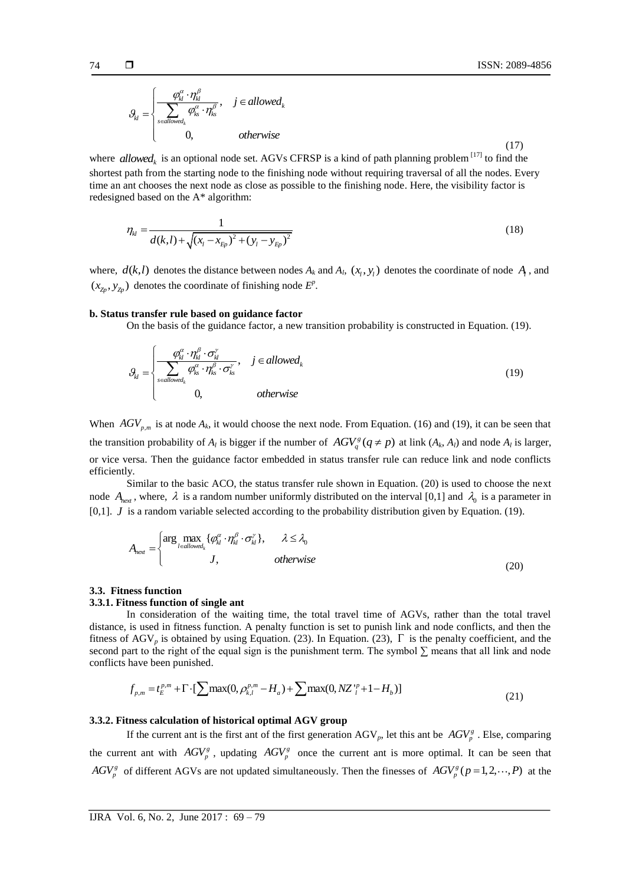(17)

$$
\mathcal{G}_{kl} = \begin{cases} \frac{\varphi_{kl}^{\alpha} \cdot \eta_{kl}^{\beta}}{\displaystyle \sum_{s \in allowed_k} \varphi_{ks}^{\alpha} \cdot \eta_{ks}^{\beta}}, & j \in allowed_k \\ 0, & otherwise \end{cases}
$$

where *allowed<sub>k</sub>* is an optional node set. AGVs CFRSP is a kind of path planning problem  $^{[17]}$  to find the shortest path from the starting node to the finishing node without requiring traversal of all the nodes. Every time an ant chooses the next node as close as possible to the finishing node. Here, the visibility factor is redesigned based on the A\* algorithm:

$$
\eta_{kl} = \frac{1}{d(k,l) + \sqrt{(x_l - x_{Ep})^2 + (y_l - y_{Ep})^2}}
$$
(18)

where,  $d(k, l)$  denotes the distance between nodes  $A_k$  and  $A_l$ ,  $(x_l, y_l)$  denotes the coordinate of node  $A_l$ , and  $(x_{\mathbb{Z}_p}, y_{\mathbb{Z}_p})$  denotes the coordinate of finishing node  $E^p$ .

## **b. Status transfer rule based on guidance factor**

On the basis of the guidance factor, a new transition probability is constructed in Equation. (19).

$$
\theta_{kl} = \begin{cases}\n\frac{\varphi_{kl}^{\alpha} \cdot \eta_{kl}^{\beta} \cdot \sigma_{kl}^{\gamma}}{\sum_{s \in allowed_k} \varphi_{ks}^{\alpha} \cdot \eta_{ks}^{\beta} \cdot \sigma_{ks}^{\gamma}}, & j \in allowed_k \\
0, & otherwise\n\end{cases}
$$
\n(19)

When  $AGV_{p,m}$  is at node  $A_k$ , it would choose the next node. From Equation. (16) and (19), it can be seen that the transition probability of  $A_l$  is bigger if the number of  $AGV_q^s(q \neq p)$  at link  $(A_k, A_l)$  and node  $A_l$  is larger, or vice versa. Then the guidance factor embedded in status transfer rule can reduce link and node conflicts efficiently.

Similar to the basic ACO, the status transfer rule shown in Equation. (20) is used to choose the next node  $A_{next}$ , where,  $\lambda$  is a random number uniformly distributed on the interval [0,1] and  $\lambda_0$  is a parameter in [0,1]. *J* is a random variable selected according to the probability distribution given by Equation. (19).

$$
A_{\text{next}} = \begin{cases} \arg \max_{l \in allowed_k} \{ \varphi_{kl}^{\alpha} \cdot \eta_{kl}^{\beta} \cdot \sigma_{kl}^{\gamma} \}, & \lambda \leq \lambda_0 \\ J, & otherwise \end{cases}
$$
 (20)

# **3.3. Fitness function**

# **3.3.1. Fitness function of single ant**

In consideration of the waiting time, the total travel time of AGVs, rather than the total travel distance, is used in fitness function. A penalty function is set to punish link and node conflicts, and then the fitness of AGV<sub>p</sub> is obtained by using Equation. (23). In Equation. (23),  $\Gamma$  is the penalty coefficient, and the second part to the right of the equal sign is the punishment term. The symbol  $\Sigma$  means that all link and node conflicts have been punished.<br>  $f_{p,m} = t_E^{p,m} + \Gamma \cdot [\sum \max(0, \rho_{k,l}^{p,m} - H_a) + \sum \max(0, NZ_l^p + 1 - H_b)]$  (21) conflicts have been punished.

have been published.  
\n
$$
f_{p,m} = t_E^{p,m} + \Gamma \cdot [\sum \max(0, \rho_{k,l}^{p,m} - H_a) + \sum \max(0, NZ_l^{p} + 1 - H_b)]
$$
\n(21)

# **3.3.2. Fitness calculation of historical optimal AGV group**

If the current ant is the first ant of the first generation  $AGV_p$ , let this ant be  $AGV_p^s$ . Else, comparing the current ant with  $AGV_p^g$ , updating  $AGV_p^g$  once the current ant is more optimal. It can be seen that  $AGV_p^g$  of different AGVs are not updated simultaneously. Then the finesses of  $AGV_p^g(p=1,2,\dots,P)$  at the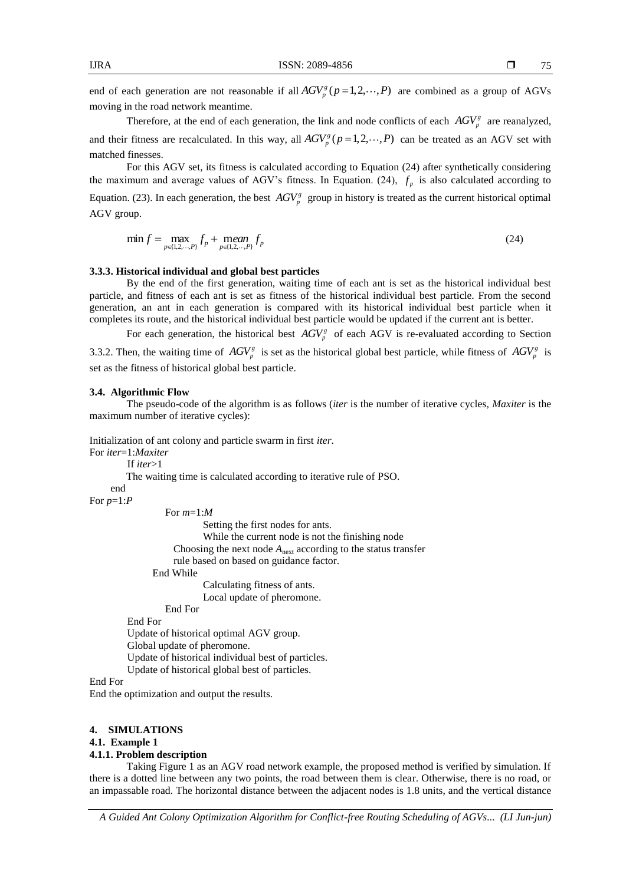end of each generation are not reasonable if all  $AGV_p^s(p=1,2,\dots,P)$  are combined as a group of AGVs moving in the road network meantime.

Therefore, at the end of each generation, the link and node conflicts of each  $AGV_p^s$  are reanalyzed, and their fitness are recalculated. In this way, all  $AGV^s_p(p=1,2,\dots,P)$  can be treated as an AGV set with matched finesses.

For this AGV set, its fitness is calculated according to Equation (24) after synthetically considering the maximum and average values of AGV's fitness. In Equation. (24),  $f_p$  is also calculated according to Equation. (23). In each generation, the best  $AGV_p^g$  group in history is treated as the current historical optimal AGV group.

$$
\min f = \max_{p \in \{1, 2, \dots, P\}} f_p + \text{mean}_{p \in \{1, 2, \dots, P\}} f_p \tag{24}
$$

## **3.3.3. Historical individual and global best particles**

By the end of the first generation, waiting time of each ant is set as the historical individual best particle, and fitness of each ant is set as fitness of the historical individual best particle. From the second generation, an ant in each generation is compared with its historical individual best particle when it completes its route, and the historical individual best particle would be updated if the current ant is better.

For each generation, the historical best  $AGV_p^s$  of each AGV is re-evaluated according to Section 3.3.2. Then, the waiting time of  $AGV_p^g$  is set as the historical global best particle, while fitness of  $AGV_p^g$  is set as the fitness of historical global best particle.

## **3.4. Algorithmic Flow**

The pseudo-code of the algorithm is as follows (*iter* is the number of iterative cycles, *Maxiter* is the maximum number of iterative cycles):

Initialization of ant colony and particle swarm in first *iter*.

For *iter*=1:*Maxiter* If *iter*>1 The waiting time is calculated according to iterative rule of PSO. end For *p*=1:*P* For *m*=1:*M* Setting the first nodes for ants. While the current node is not the finishing node Choosing the next node  $A<sub>next</sub>$  according to the status transfer rule based on based on guidance factor. End While Calculating fitness of ants. Local update of pheromone. End For End For Update of historical optimal AGV group. Global update of pheromone. Update of historical individual best of particles.

Update of historical global best of particles.

End For

End the optimization and output the results.

## **4. SIMULATIONS**

# **4.1. Example 1**

## **4.1.1. Problem description**

Taking Figure 1 as an AGV road network example, the proposed method is verified by simulation. If there is a dotted line between any two points, the road between them is clear. Otherwise, there is no road, or an impassable road. The horizontal distance between the adjacent nodes is 1.8 units, and the vertical distance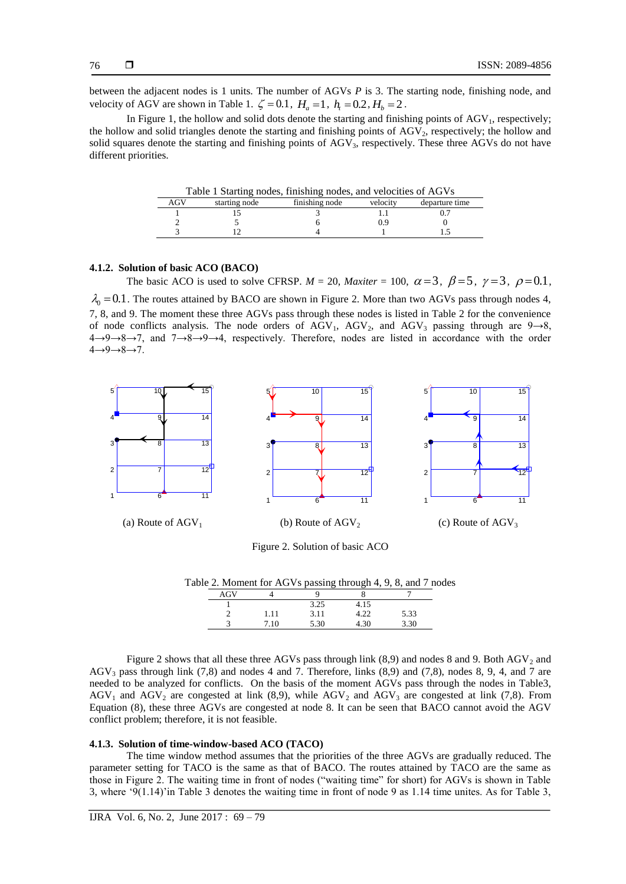between the adjacent nodes is 1 units. The number of AGVs *P* is 3. The starting node, finishing node, and velocity of AGV are shown in Table 1.  $\zeta = 0.1$ ,  $H_a = 1$ ,  $h_t = 0.2$ ,  $H_b = 2$ .

In Figure 1, the hollow and solid dots denote the starting and finishing points of  $AGV<sub>1</sub>$ , respectively; the hollow and solid triangles denote the starting and finishing points of AGV<sub>2</sub>, respectively; the hollow and solid squares denote the starting and finishing points of AGV<sub>3</sub>, respectively. These three AGVs do not have different priorities.

| Table 1 Starting nodes, finishing nodes, and velocities of AGVs |                                                               |  |  |  |  |  |  |
|-----------------------------------------------------------------|---------------------------------------------------------------|--|--|--|--|--|--|
| AGV                                                             | finishing node<br>velocity<br>departure time<br>starting node |  |  |  |  |  |  |
|                                                                 |                                                               |  |  |  |  |  |  |
|                                                                 |                                                               |  |  |  |  |  |  |
|                                                                 |                                                               |  |  |  |  |  |  |

## **4.1.2. Solution of basic ACO (BACO)**

The basic ACO is used to solve CFRSP.  $M = 20$ , *Maxiter* = 100,  $\alpha = 3$ ,  $\beta = 5$ ,  $\gamma = 3$ ,  $\rho = 0.1$ ,

 $\lambda_0 = 0.1$ . The routes attained by BACO are shown in Figure 2. More than two AGVs pass through nodes 4, 7, 8, and 9. The moment these three AGVs pass through these nodes is listed in Table 2 for the convenience of node conflicts analysis. The node orders of AGV<sub>1</sub>, AGV<sub>2</sub>, and AGV<sub>3</sub> passing through are 9→8, 4→9→8→7, and 7→8→9→4, respectively. Therefore, nodes are listed in accordance with the order 4→9→8→7.



Figure 2. Solution of basic ACO

|     | Table 2. Moment for AGVs passing through 4, 9, 8, and 7 nodes |  |  |
|-----|---------------------------------------------------------------|--|--|
| AGV |                                                               |  |  |

|   |      | 3.25 | 4.15      |      |  |
|---|------|------|-----------|------|--|
| - | 1.11 | 3.11 | ാ<br>+.∠∠ | 5.33 |  |
|   | 7.10 | 5.30 | 4.30      | 3.30 |  |

Figure 2 shows that all these three AGVs pass through link  $(8,9)$  and nodes 8 and 9. Both AGV<sub>2</sub> and AGV<sup>3</sup> pass through link (7,8) and nodes 4 and 7. Therefore, links (8,9) and (7,8), nodes 8, 9, 4, and 7 are needed to be analyzed for conflicts. On the basis of the moment AGVs pass through the nodes in Table3,  $AGV<sub>1</sub>$  and  $AGV<sub>2</sub>$  are congested at link (8,9), while  $AGV<sub>2</sub>$  and  $AGV<sub>3</sub>$  are congested at link (7,8). From Equation (8), these three AGVs are congested at node 8. It can be seen that BACO cannot avoid the AGV conflict problem; therefore, it is not feasible.

#### **4.1.3. Solution of time-window-based ACO (TACO)**

The time window method assumes that the priorities of the three AGVs are gradually reduced. The parameter setting for TACO is the same as that of BACO. The routes attained by TACO are the same as those in Figure 2. The waiting time in front of nodes ("waiting time" for short) for AGVs is shown in Table 3, where "9(1.14)"in Table 3 denotes the waiting time in front of node 9 as 1.14 time unites. As for Table 3,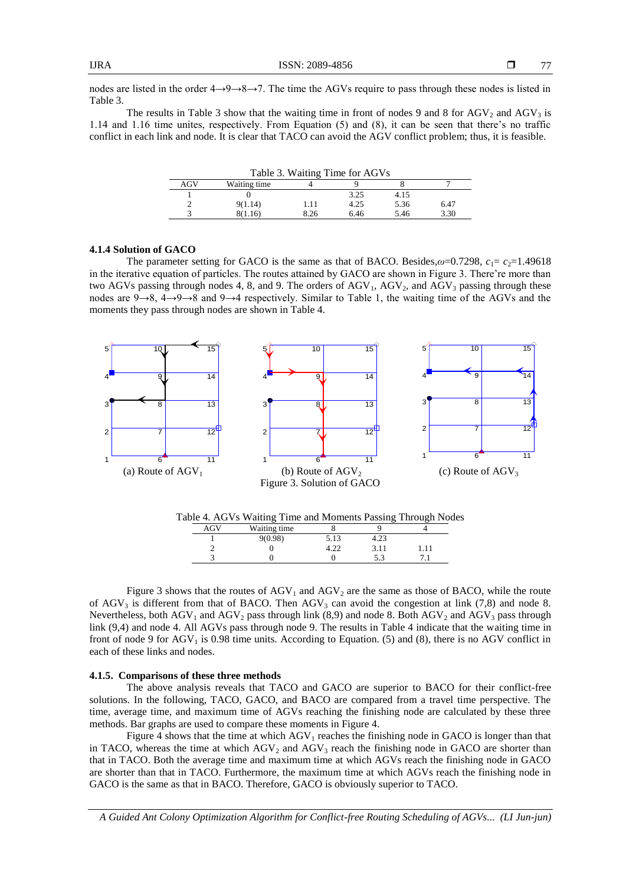nodes are listed in the order 4→9→8→7. The time the AGVs require to pass through these nodes is listed in Table 3.

The results in Table 3 show that the waiting time in front of nodes 9 and 8 for  $AGV_2$  and  $AGV_3$  is 1.14 and 1.16 time unites, respectively. From Equation (5) and (8), it can be seen that there"s no traffic conflict in each link and node. It is clear that TACO can avoid the AGV conflict problem; thus, it is feasible.

| Table 3. Waiting Time for AGVs          |              |      |      |      |      |  |  |
|-----------------------------------------|--------------|------|------|------|------|--|--|
| AGV                                     | Waiting time |      |      |      |      |  |  |
|                                         | 3.25<br>4.15 |      |      |      |      |  |  |
|                                         | 9(1.14)      | 1.11 | 4.25 | 5.36 | 6.47 |  |  |
| 8.26<br>3.30<br>6.46<br>5.46<br>8(1.16) |              |      |      |      |      |  |  |

### **4.1.4 Solution of GACO**

The parameter setting for GACO is the same as that of BACO. Besides, $\omega$ =0.7298,  $c_1 = c_2$ =1.49618 in the iterative equation of particles. The routes attained by GACO are shown in Figure 3. There"re more than two AGVs passing through nodes 4, 8, and 9. The orders of AGV<sub>1</sub>, AGV<sub>2</sub>, and AGV<sub>3</sub> passing through these nodes are 9→8, 4→9→8 and 9→4 respectively. Similar to Table 1, the waiting time of the AGVs and the moments they pass through nodes are shown in Table 4.



| Table 4. AGVs Waiting Time and Moments Passing Through Nodes |  |  |  |  |
|--------------------------------------------------------------|--|--|--|--|
|--------------------------------------------------------------|--|--|--|--|

|  | Waiting time |      |         |  |
|--|--------------|------|---------|--|
|  | 9(0.98)      | 5.13 | ر ے.+   |  |
|  |              |      | 3.11    |  |
|  |              |      | - ^<br> |  |
|  |              |      |         |  |

Figure 3 shows that the routes of  $AGV_1$  and  $AGV_2$  are the same as those of BACO, while the route of AGV<sub>3</sub> is different from that of BACO. Then AGV<sub>3</sub> can avoid the congestion at link (7,8) and node 8. Nevertheless, both  $AGV_1$  and  $AGV_2$  pass through link (8,9) and node 8. Both  $AGV_2$  and  $AGV_3$  pass through link (9,4) and node 4. All AGVs pass through node 9. The results in Table 4 indicate that the waiting time in front of node 9 for  $AGV_1$  is 0.98 time units. According to Equation. (5) and (8), there is no AGV conflict in each of these links and nodes.

## **4.1.5. Comparisons of these three methods**

The above analysis reveals that TACO and GACO are superior to BACO for their conflict-free solutions. In the following, TACO, GACO, and BACO are compared from a travel time perspective. The time, average time, and maximum time of AGVs reaching the finishing node are calculated by these three methods. Bar graphs are used to compare these moments in Figure 4.

Figure 4 shows that the time at which  $AGV<sub>1</sub>$  reaches the finishing node in GACO is longer than that in TACO, whereas the time at which  $AGV_2$  and  $AGV_3$  reach the finishing node in GACO are shorter than that in TACO. Both the average time and maximum time at which AGVs reach the finishing node in GACO are shorter than that in TACO. Furthermore, the maximum time at which AGVs reach the finishing node in GACO is the same as that in BACO. Therefore, GACO is obviously superior to TACO.

*A Guided Ant Colony Optimization Algorithm for Conflict-free Routing Scheduling of AGVs... (LI Jun-jun)*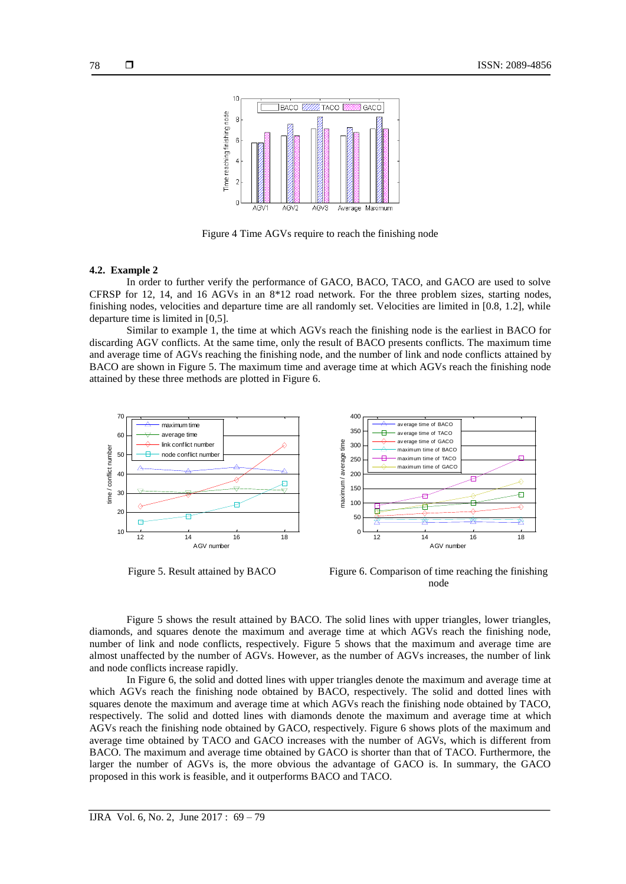

Figure 4 Time AGVs require to reach the finishing node

# **4.2. Example 2**

In order to further verify the performance of GACO, BACO, TACO, and GACO are used to solve CFRSP for 12, 14, and 16 AGVs in an 8\*12 road network. For the three problem sizes, starting nodes, finishing nodes, velocities and departure time are all randomly set. Velocities are limited in [0.8, 1.2], while departure time is limited in [0,5].

Similar to example 1, the time at which AGVs reach the finishing node is the earliest in BACO for discarding AGV conflicts. At the same time, only the result of BACO presents conflicts. The maximum time and average time of AGVs reaching the finishing node, and the number of link and node conflicts attained by BACO are shown in Figure 5. The maximum time and average time at which AGVs reach the finishing node attained by these three methods are plotted in Figure 6.



Figure 5. Result attained by BACO Figure 6. Comparison of time reaching the finishing node

Figure 5 shows the result attained by BACO. The solid lines with upper triangles, lower triangles, diamonds, and squares denote the maximum and average time at which AGVs reach the finishing node, number of link and node conflicts, respectively. Figure 5 shows that the maximum and average time are almost unaffected by the number of AGVs. However, as the number of AGVs increases, the number of link and node conflicts increase rapidly.

In Figure 6, the solid and dotted lines with upper triangles denote the maximum and average time at which AGVs reach the finishing node obtained by BACO, respectively. The solid and dotted lines with squares denote the maximum and average time at which AGVs reach the finishing node obtained by TACO, respectively. The solid and dotted lines with diamonds denote the maximum and average time at which AGVs reach the finishing node obtained by GACO, respectively. Figure 6 shows plots of the maximum and average time obtained by TACO and GACO increases with the number of AGVs, which is different from BACO. The maximum and average time obtained by GACO is shorter than that of TACO. Furthermore, the larger the number of AGVs is, the more obvious the advantage of GACO is. In summary, the GACO proposed in this work is feasible, and it outperforms BACO and TACO.